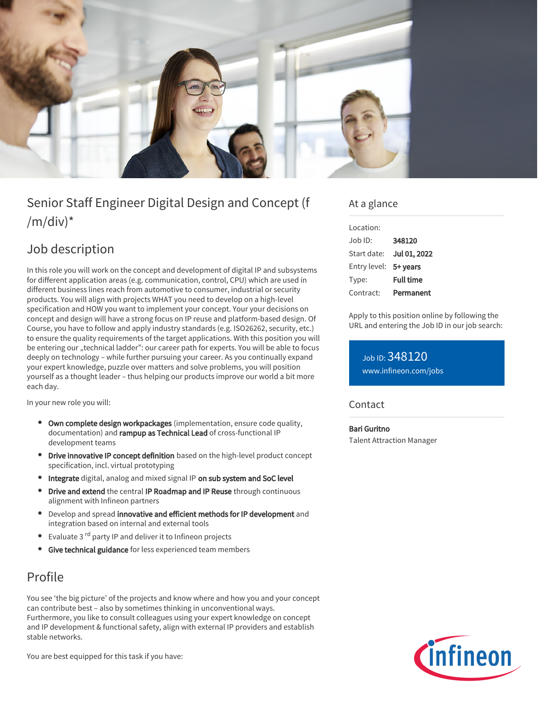

# Senior Staff Engineer Digital Design and Concept (f  $/m/div)^*$

## Job description

In this role you will work on the concept and development of digital IP and subsystems for different application areas (e.g. communication, control, CPU) which are used in different business lines reach from automotive to consumer, industrial or security products. You will align with projects WHAT you need to develop on a high-level specification and HOW you want to implement your concept. Your your decisions on concept and design will have a strong focus on IP reuse and platform-based design. Of Course, you have to follow and apply industry standards (e.g. ISO26262, security, etc.) to ensure the quality requirements of the target applications. With this position you will be entering our "technical ladder": our career path for experts. You will be able to focus deeply on technology – while further pursuing your career. As you continually expand your expert knowledge, puzzle over matters and solve problems, you will position yourself as a thought leader – thus helping our products improve our world a bit more each day.

In your new role you will:

- Own complete design workpackages (implementation, ensure code quality, documentation) and rampup as Technical Lead of cross-functional IP development teams
- **Drive innovative IP concept definition** based on the high-level product concept specification, incl. virtual prototyping
- Integrate digital, analog and mixed signal IP on sub system and SoC level
- Drive and extend the central IP Roadmap and IP Reuse through continuous alignment with Infineon partners
- Develop and spread innovative and efficient methods for IP development and integration based on internal and external tools
- Evaluate 3 <sup>rd</sup> party IP and deliver it to Infineon projects
- Give technical guidance for less experienced team members

### Profile

You see 'the big picture' of the projects and know where and how you and your concept can contribute best – also by sometimes thinking in unconventional ways. Furthermore, you like to consult colleagues using your expert knowledge on concept and IP development & functional safety, align with external IP providers and establish stable networks.

You are best equipped for this task if you have:

### At a glance

| Location:             |                  |
|-----------------------|------------------|
| Job ID:               | 348120           |
| Start date:           | Jul 01, 2022     |
| Entry level: 5+ years |                  |
| Type:                 | <b>Full time</b> |
| Contract:             | Permanent        |

Apply to this position online by following the URL and entering the Job ID in our job search:

Job ID: 348120 [www.infineon.com/jobs](https://www.infineon.com/jobs)

#### **Contact**

Bari Guritno Talent Attraction Manager